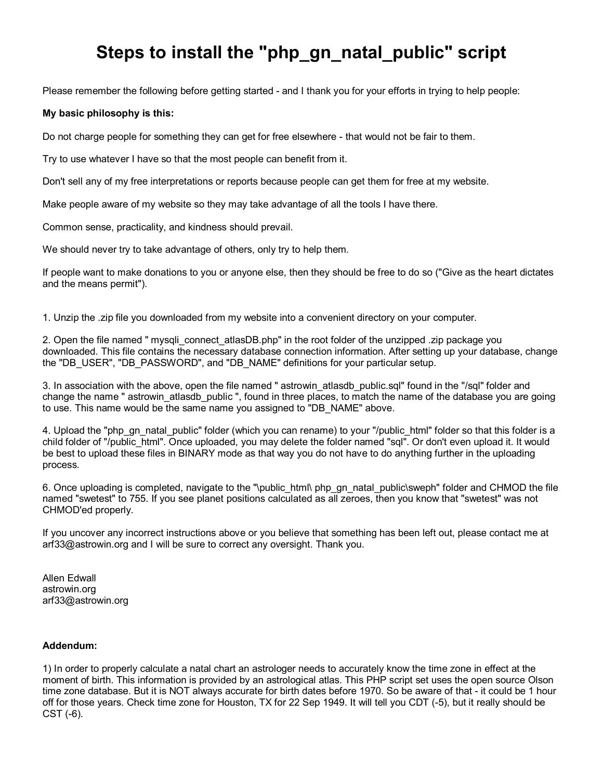## **Steps to install the "php\_gn\_natal\_public" script**

Please remember the following before getting started - and I thank you for your efforts in trying to help people:

## **My basic philosophy is this:**

Do not charge people for something they can get for free elsewhere - that would not be fair to them.

Try to use whatever I have so that the most people can benefit from it.

Don't sell any of my free interpretations or reports because people can get them for free at my website.

Make people aware of my website so they may take advantage of all the tools I have there.

Common sense, practicality, and kindness should prevail.

We should never try to take advantage of others, only try to help them.

If people want to make donations to you or anyone else, then they should be free to do so ("Give as the heart dictates and the means permit").

1. Unzip the .zip file you downloaded from my website into a convenient directory on your computer.

2. Open the file named " mysqli connect atlasDB.php" in the root folder of the unzipped .zip package you downloaded. This file contains the necessary database connection information. After setting up your database, change the "DB\_USER", "DB\_PASSWORD", and "DB\_NAME" definitions for your particular setup.

3. In association with the above, open the file named " astrowin atlasdb public.sql" found in the "/sql" folder and change the name " astrowin atlasdb public ", found in three places, to match the name of the database you are going to use. This name would be the same name you assigned to "DB\_NAME" above.

4. Upload the "php\_gn\_natal\_public" folder (which you can rename) to your "/public\_html" folder so that this folder is a child folder of "/public\_html". Once uploaded, you may delete the folder named "sql". Or don't even upload it. It would be best to upload these files in BINARY mode as that way you do not have to do anything further in the uploading process.

6. Once uploading is completed, navigate to the "\public\_html\ php\_gn\_natal\_public\sweph" folder and CHMOD the file named "swetest" to 755. If you see planet positions calculated as all zeroes, then you know that "swetest" was not CHMOD'ed properly.

If you uncover any incorrect instructions above or you believe that something has been left out, please contact me at arf33@astrowin.org and I will be sure to correct any oversight. Thank you.

Allen Edwall astrowin.org arf33@astrowin.org

## **Addendum:**

1) In order to properly calculate a natal chart an astrologer needs to accurately know the time zone in effect at the moment of birth. This information is provided by an astrological atlas. This PHP script set uses the open source Olson time zone database. But it is NOT always accurate for birth dates before 1970. So be aware of that - it could be 1 hour off for those years. Check time zone for Houston, TX for 22 Sep 1949. It will tell you CDT (-5), but it really should be CST (-6).